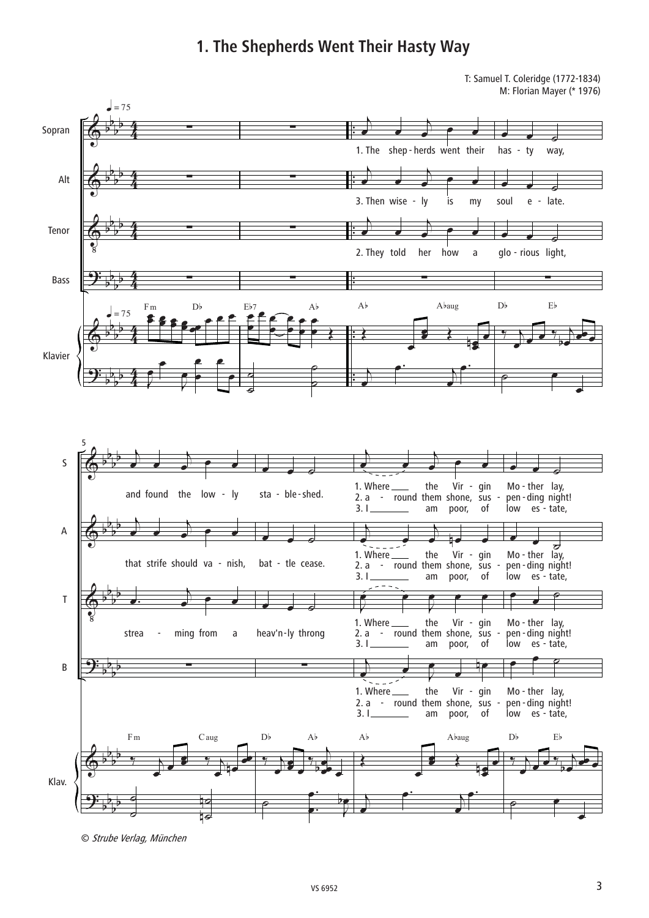## **1. The Shepherds Went Their Hasty Way**

T: Samuel T. Coleridge (1772-1834) M: Florian Mayer (\* 1976)



<sup>©</sup> Strube Verlag, München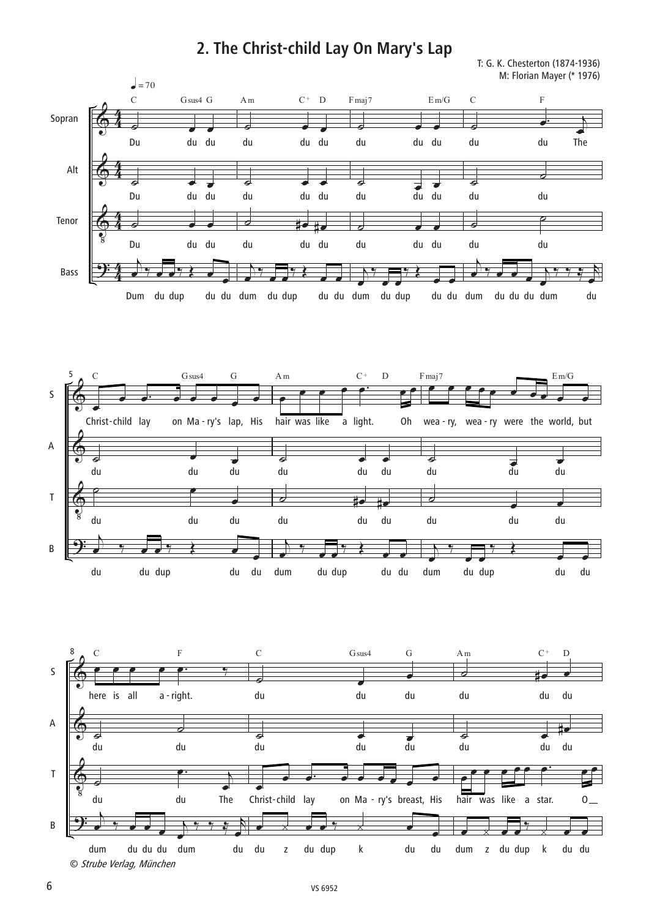## **2. The Christ-child Lay On Mary's Lap**

T: G. K. Chesterton (1874-1936) M: Florian Mayer (\* 1976)

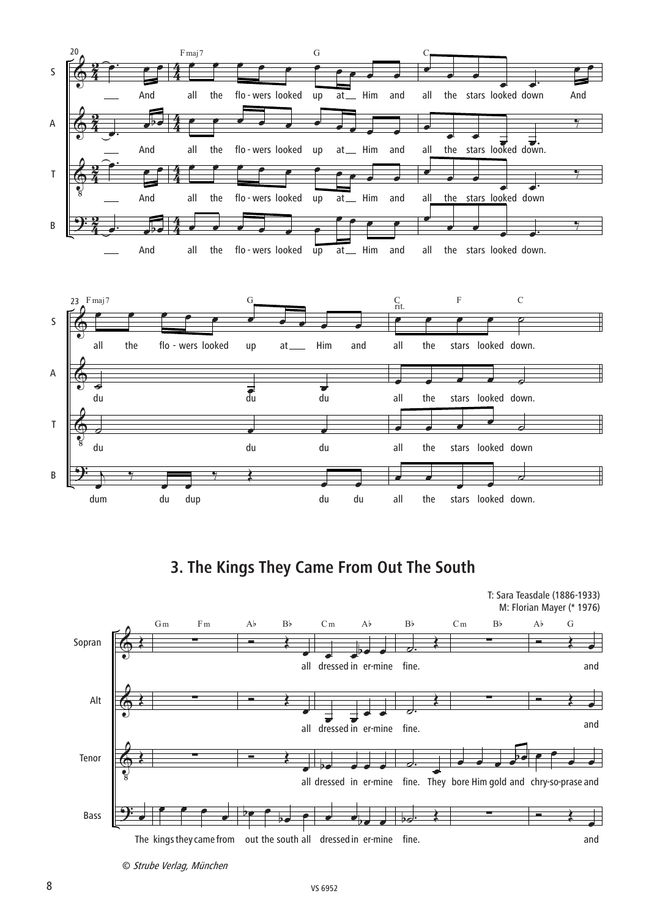

**3. The Kings They Came From Out The South**



© Strube Verlag, München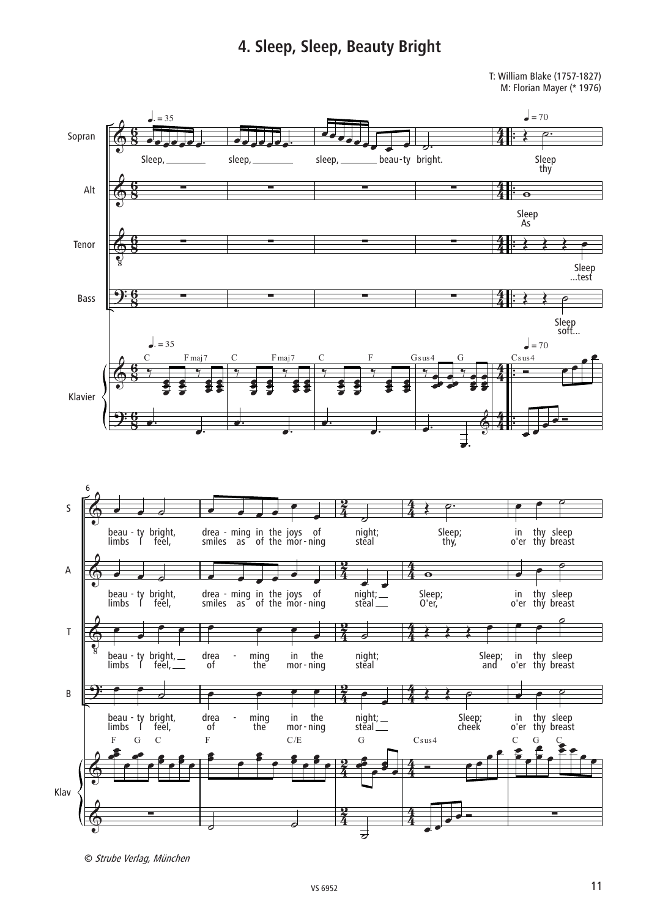## 4. Sleep, Sleep, Beauty Bright

T: William Blake (1757-1827) M: Florian Mayer (\* 1976)



© Strube Verlag, München